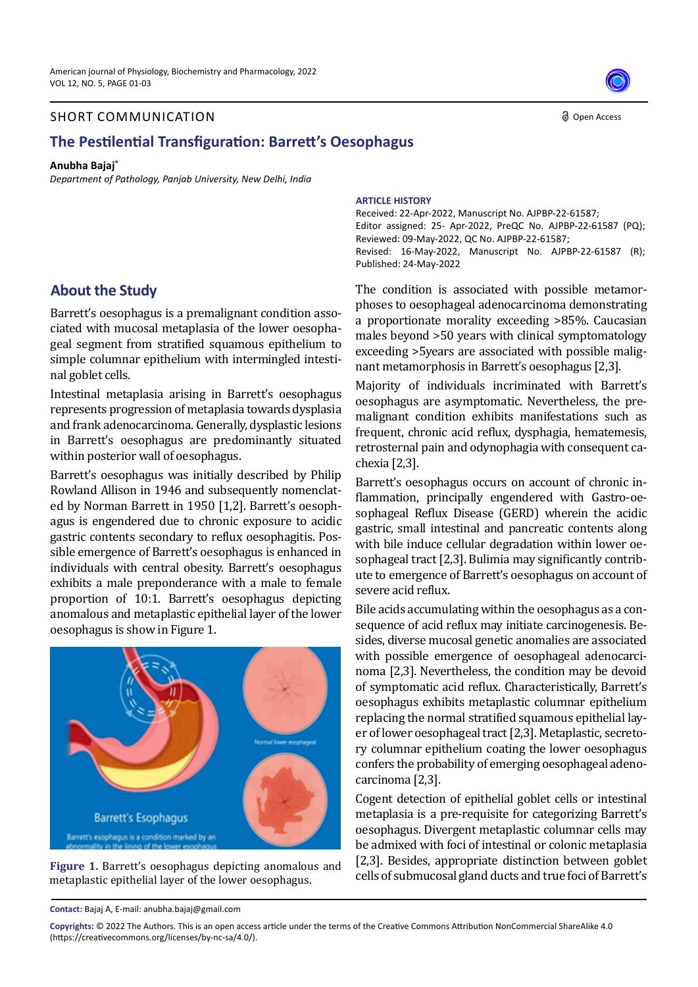#### SHORT COMMUNICATION

# **The Pestilential Transfiguration: Barrett's Oesophagus**

#### **Anubha Bajaj\***

*Department of Pathology, Panjab University, New Delhi, India*

## **About the Study**

Barrett's oesophagus is a premalignant condition associated with mucosal metaplasia of the lower oesophageal segment from stratified squamous epithelium to simple columnar epithelium with intermingled intestinal goblet cells.

Intestinal metaplasia arising in Barrett's oesophagus represents progression of metaplasia towards dysplasia and frank adenocarcinoma. Generally, dysplastic lesions in Barrett's oesophagus are predominantly situated within posterior wall of oesophagus.

Barrett's oesophagus was initially described by Philip Rowland Allison in 1946 and subsequently nomenclated by Norman Barrett in 1950 [1,2]. Barrett's oesophagus is engendered due to chronic exposure to acidic gastric contents secondary to reflux oesophagitis. Possible emergence of Barrett's oesophagus is enhanced in individuals with central obesity. Barrett's oesophagus exhibits a male preponderance with a male to female proportion of 10:1. Barrett's oesophagus depicting anomalous and metaplastic epithelial layer of the lower oesophagus is show in Figure 1.



**Figure 1.** Barrett's oesophagus depicting anomalous and metaplastic epithelial layer of the lower oesophagus.

**ARTICLE HISTORY**

Received: 22-Apr-2022, Manuscript No. AJPBP-22-61587; Editor assigned: 25- Apr-2022, PreQC No. AJPBP-22-61587 (PQ); Reviewed: 09-May-2022, QC No. AJPBP-22-61587; Revised: 16-May-2022, Manuscript No. AJPBP-22-61587 (R); Published: 24-May-2022

The condition is associated with possible metamorphoses to oesophageal adenocarcinoma demonstrating a proportionate morality exceeding >85%. Caucasian males beyond >50 years with clinical symptomatology exceeding >5years are associated with possible malignant metamorphosis in Barrett's oesophagus [2,3].

Majority of individuals incriminated with Barrett's oesophagus are asymptomatic. Nevertheless, the premalignant condition exhibits manifestations such as frequent, chronic acid reflux, dysphagia, hematemesis, retrosternal pain and odynophagia with consequent cachexia [2,3].

Barrett's oesophagus occurs on account of chronic inflammation, principally engendered with Gastro-oesophageal Reflux Disease (GERD) wherein the acidic gastric, small intestinal and pancreatic contents along with bile induce cellular degradation within lower oesophageal tract [2,3]. Bulimia may significantly contribute to emergence of Barrett's oesophagus on account of severe acid reflux.

Bile acids accumulating within the oesophagus as a consequence of acid reflux may initiate carcinogenesis. Besides, diverse mucosal genetic anomalies are associated with possible emergence of oesophageal adenocarcinoma [2,3]. Nevertheless, the condition may be devoid of symptomatic acid reflux. Characteristically, Barrett's oesophagus exhibits metaplastic columnar epithelium replacing the normal stratified squamous epithelial layer of lower oesophageal tract [2,3]. Metaplastic, secretory columnar epithelium coating the lower oesophagus confers the probability of emerging oesophageal adenocarcinoma [2,3].

Cogent detection of epithelial goblet cells or intestinal metaplasia is a pre-requisite for categorizing Barrett's oesophagus. Divergent metaplastic columnar cells may be admixed with foci of intestinal or colonic metaplasia [2,3]. Besides, appropriate distinction between goblet cells of submucosal gland ducts and true foci of Barrett's

**Contact:** Bajaj A, E-mail: anubha.bajaj@gmail.com



**Copyrights:** © 2022 The Authors. This is an open access article under the terms of the Creative Commons Attribution NonCommercial ShareAlike 4.0 (https://creativecommons.org/licenses/by-nc-sa/4.0/).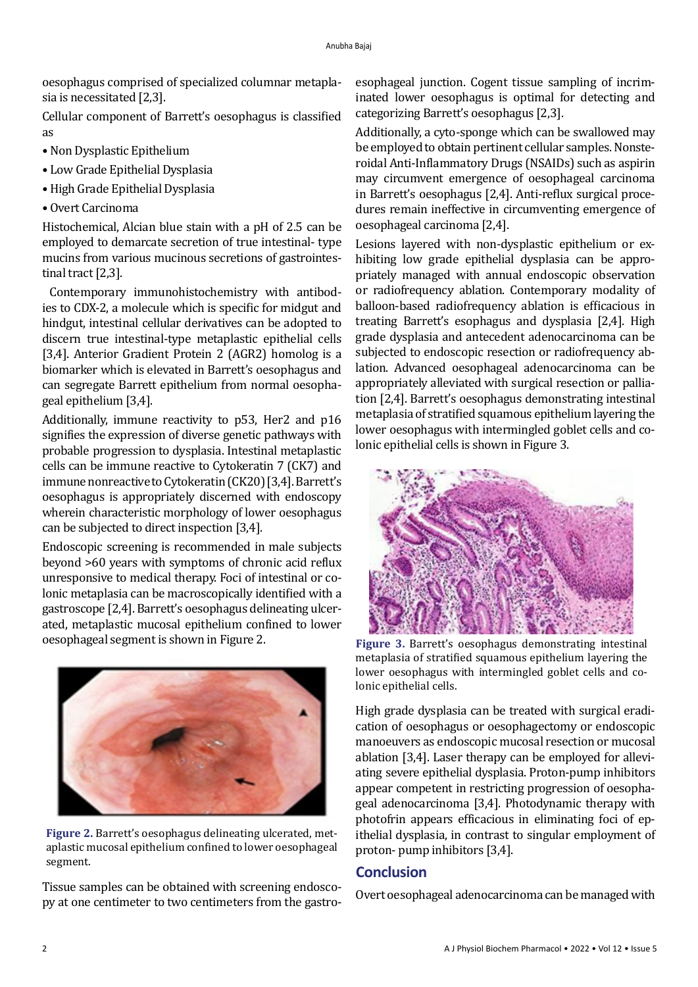oesophagus comprised of specialized columnar metaplasia is necessitated [2,3].

Cellular component of Barrett's oesophagus is classified as

- Non Dysplastic Epithelium
- Low Grade Epithelial Dysplasia
- High Grade Epithelial Dysplasia
- Overt Carcinoma

Histochemical, Alcian blue stain with a pH of 2.5 can be employed to demarcate secretion of true intestinal- type mucins from various mucinous secretions of gastrointestinal tract [2,3].

 Contemporary immunohistochemistry with antibodies to CDX-2, a molecule which is specific for midgut and hindgut, intestinal cellular derivatives can be adopted to discern true intestinal-type metaplastic epithelial cells [3,4]. Anterior Gradient Protein 2 (AGR2) homolog is a biomarker which is elevated in Barrett's oesophagus and can segregate Barrett epithelium from normal oesophageal epithelium [3,4].

Additionally, immune reactivity to p53, Her2 and p16 signifies the expression of diverse genetic pathways with probable progression to dysplasia. Intestinal metaplastic cells can be immune reactive to Cytokeratin 7 (CK7) and immune nonreactive to Cytokeratin (CK20) [3,4]. Barrett's oesophagus is appropriately discerned with endoscopy wherein characteristic morphology of lower oesophagus can be subjected to direct inspection [3,4].

Endoscopic screening is recommended in male subjects beyond >60 years with symptoms of chronic acid reflux unresponsive to medical therapy. Foci of intestinal or colonic metaplasia can be macroscopically identified with a gastroscope [2,4]. Barrett's oesophagus delineating ulcerated, metaplastic mucosal epithelium confined to lower oesophageal segment is shown in Figure 2.



**Figure 2.** Barrett's oesophagus delineating ulcerated, metaplastic mucosal epithelium confined to lower oesophageal segment.

Tissue samples can be obtained with screening endoscopy at one centimeter to two centimeters from the gastroesophageal junction. Cogent tissue sampling of incriminated lower oesophagus is optimal for detecting and categorizing Barrett's oesophagus [2,3].

Additionally, a cyto-sponge which can be swallowed may be employed to obtain pertinent cellular samples. Nonsteroidal Anti-Inflammatory Drugs (NSAIDs) such as aspirin may circumvent emergence of oesophageal carcinoma in Barrett's oesophagus [2,4]. Anti-reflux surgical procedures remain ineffective in circumventing emergence of oesophageal carcinoma [2,4].

Lesions layered with non-dysplastic epithelium or exhibiting low grade epithelial dysplasia can be appropriately managed with annual endoscopic observation or radiofrequency ablation. Contemporary modality of balloon-based radiofrequency ablation is efficacious in treating Barrett's esophagus and dysplasia [2,4]. High grade dysplasia and antecedent adenocarcinoma can be subjected to endoscopic resection or radiofrequency ablation. Advanced oesophageal adenocarcinoma can be appropriately alleviated with surgical resection or palliation [2,4]. Barrett's oesophagus demonstrating intestinal metaplasia of stratified squamous epithelium layering the lower oesophagus with intermingled goblet cells and colonic epithelial cells is shown in Figure 3.



**Figure 3.** Barrett's oesophagus demonstrating intestinal metaplasia of stratified squamous epithelium layering the lower oesophagus with intermingled goblet cells and colonic epithelial cells.

High grade dysplasia can be treated with surgical eradication of oesophagus or oesophagectomy or endoscopic manoeuvers as endoscopic mucosal resection or mucosal ablation [3,4]. Laser therapy can be employed for alleviating severe epithelial dysplasia. Proton-pump inhibitors appear competent in restricting progression of oesophageal adenocarcinoma [3,4]. Photodynamic therapy with photofrin appears efficacious in eliminating foci of epithelial dysplasia, in contrast to singular employment of proton- pump inhibitors [3,4].

# **Conclusion**

Overt oesophageal adenocarcinoma can be managed with